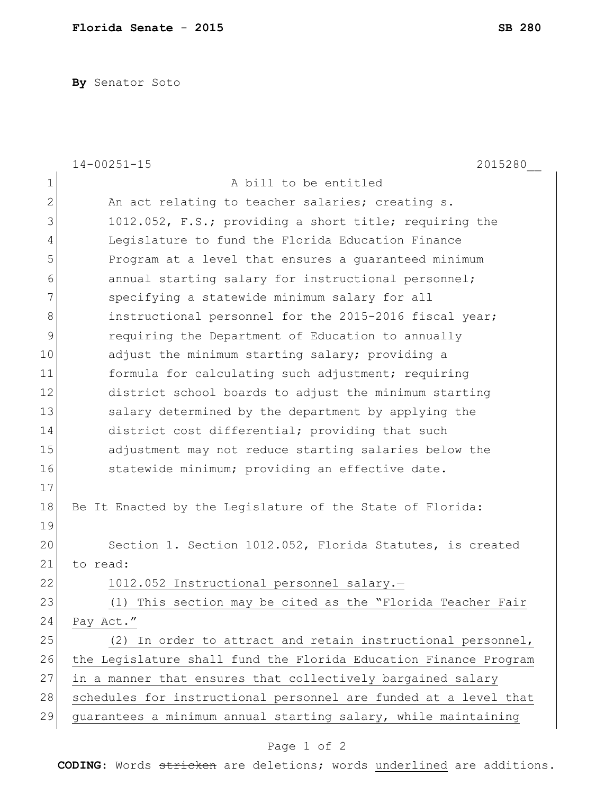**By** Senator Soto

|               | $14 - 00251 - 15$<br>2015280                                     |
|---------------|------------------------------------------------------------------|
| 1             | A bill to be entitled                                            |
| $\mathbf{2}$  | An act relating to teacher salaries; creating s.                 |
| 3             | 1012.052, F.S.; providing a short title; requiring the           |
| 4             | Legislature to fund the Florida Education Finance                |
| 5             | Program at a level that ensures a quaranteed minimum             |
| 6             | annual starting salary for instructional personnel;              |
| 7             | specifying a statewide minimum salary for all                    |
| 8             | instructional personnel for the 2015-2016 fiscal year;           |
| $\mathcal{G}$ | requiring the Department of Education to annually                |
| 10            | adjust the minimum starting salary; providing a                  |
| 11            | formula for calculating such adjustment; requiring               |
| 12            | district school boards to adjust the minimum starting            |
| 13            | salary determined by the department by applying the              |
| 14            | district cost differential; providing that such                  |
| 15            | adjustment may not reduce starting salaries below the            |
| 16            | statewide minimum; providing an effective date.                  |
| 17            |                                                                  |
| 18            | Be It Enacted by the Legislature of the State of Florida:        |
| 19            |                                                                  |
| 20            | Section 1. Section 1012.052, Florida Statutes, is created        |
| 21            | to read:                                                         |
| 22            | 1012.052 Instructional personnel salary.-                        |
| 23            | (1) This section may be cited as the "Florida Teacher Fair       |
| 24            | Pay Act."                                                        |
| 25            | (2) In order to attract and retain instructional personnel,      |
| 26            | the Legislature shall fund the Florida Education Finance Program |
| 27            | in a manner that ensures that collectively bargained salary      |
| 28            | schedules for instructional personnel are funded at a level that |
| 29            | guarantees a minimum annual starting salary, while maintaining   |

## Page 1 of 2

**CODING**: Words stricken are deletions; words underlined are additions.